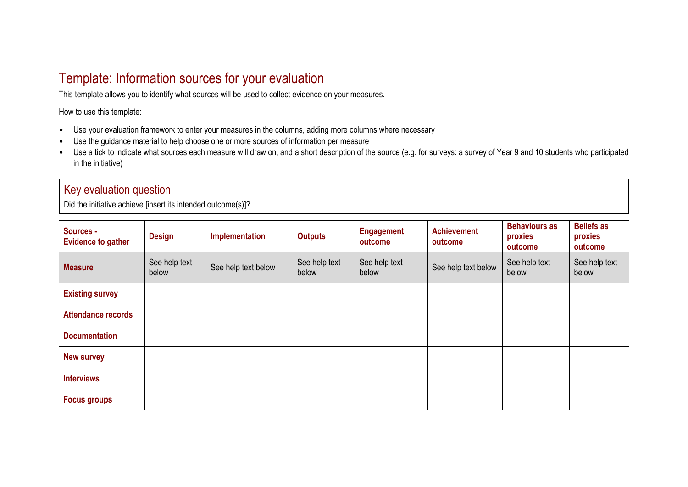## Template: Information sources for your evaluation

This template allows you to identify what sources will be used to collect evidence on your measures.

How to use this template:

- Use your evaluation framework to enter your measures in the columns, adding more columns where necessary
- Use the guidance material to help choose one or more sources of information per measure
- Use a tick to indicate what sources each measure will draw on, and a short description of the source (e.g. for surveys: a survey of Year 9 and 10 students who participated in the initiative)

## Key evaluation question

Did the initiative achieve [insert its intended outcome(s)]?

| Sources -<br><b>Evidence to gather</b> | <b>Design</b>          | Implementation      | <b>Outputs</b>         | <b>Engagement</b><br>outcome | <b>Achievement</b><br>outcome | <b>Behaviours as</b><br>proxies<br>outcome | <b>Beliefs as</b><br>proxies<br>outcome |
|----------------------------------------|------------------------|---------------------|------------------------|------------------------------|-------------------------------|--------------------------------------------|-----------------------------------------|
| <b>Measure</b>                         | See help text<br>below | See help text below | See help text<br>below | See help text<br>below       | See help text below           | See help text<br>below                     | See help text<br>below                  |
| <b>Existing survey</b>                 |                        |                     |                        |                              |                               |                                            |                                         |
| <b>Attendance records</b>              |                        |                     |                        |                              |                               |                                            |                                         |
| <b>Documentation</b>                   |                        |                     |                        |                              |                               |                                            |                                         |
| <b>New survey</b>                      |                        |                     |                        |                              |                               |                                            |                                         |
| <b>Interviews</b>                      |                        |                     |                        |                              |                               |                                            |                                         |
| <b>Focus groups</b>                    |                        |                     |                        |                              |                               |                                            |                                         |